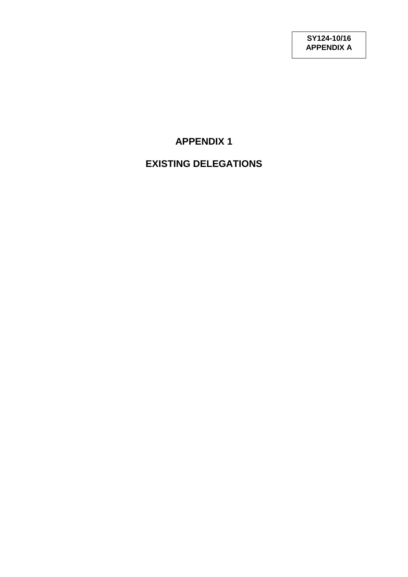# **APPENDIX 1**

# **EXISTING DELEGATIONS**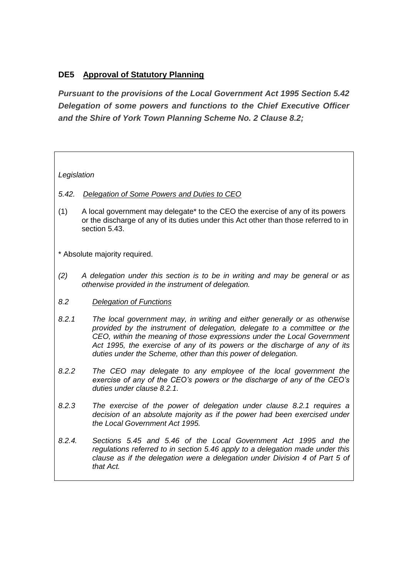## **DE5 Approval of Statutory Planning**

*Pursuant to the provisions of the Local Government Act 1995 Section 5.42 Delegation of some powers and functions to the Chief Executive Officer and the Shire of York Town Planning Scheme No. 2 Clause 8.2;*

## *Legislation*

- *5.42. Delegation of Some Powers and Duties to CEO*
- (1) A local government may delegate\* to the CEO the exercise of any of its powers or the discharge of any of its duties under this Act other than those referred to in section 5.43.
- \* Absolute majority required.
- *(2) A delegation under this section is to be in writing and may be general or as otherwise provided in the instrument of delegation.*
- *8.2 Delegation of Functions*
- *8.2.1 The local government may, in writing and either generally or as otherwise provided by the instrument of delegation, delegate to a committee or the CEO, within the meaning of those expressions under the Local Government Act 1995, the exercise of any of its powers or the discharge of any of its duties under the Scheme, other than this power of delegation.*
- *8.2.2 The CEO may delegate to any employee of the local government the exercise of any of the CEO's powers or the discharge of any of the CEO's duties under clause 8.2.1.*
- *8.2.3 The exercise of the power of delegation under clause 8.2.1 requires a decision of an absolute majority as if the power had been exercised under the Local Government Act 1995.*
- *8.2.4. Sections 5.45 and 5.46 of the Local Government Act 1995 and the regulations referred to in section 5.46 apply to a delegation made under this clause as if the delegation were a delegation under Division 4 of Part 5 of that Act.*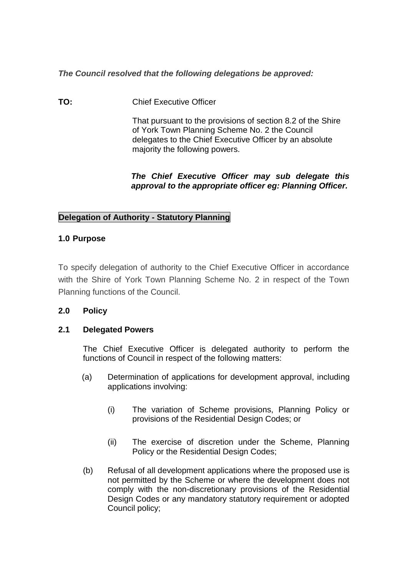*The Council resolved that the following delegations be approved:*

**TO:** Chief Executive Officer

That pursuant to the provisions of section 8.2 of the Shire of York Town Planning Scheme No. 2 the Council delegates to the Chief Executive Officer by an absolute majority the following powers.

## *The Chief Executive Officer may sub delegate this approval to the appropriate officer eg: Planning Officer.*

## **Delegation of Authority - Statutory Planning**

## **1.0 Purpose**

To specify delegation of authority to the Chief Executive Officer in accordance with the Shire of York Town Planning Scheme No. 2 in respect of the Town Planning functions of the Council.

## **2.0 Policy**

## **2.1 Delegated Powers**

The Chief Executive Officer is delegated authority to perform the functions of Council in respect of the following matters:

- (a) Determination of applications for development approval, including applications involving:
	- (i) The variation of Scheme provisions, Planning Policy or provisions of the Residential Design Codes; or
	- (ii) The exercise of discretion under the Scheme, Planning Policy or the Residential Design Codes;
- (b) Refusal of all development applications where the proposed use is not permitted by the Scheme or where the development does not comply with the non-discretionary provisions of the Residential Design Codes or any mandatory statutory requirement or adopted Council policy;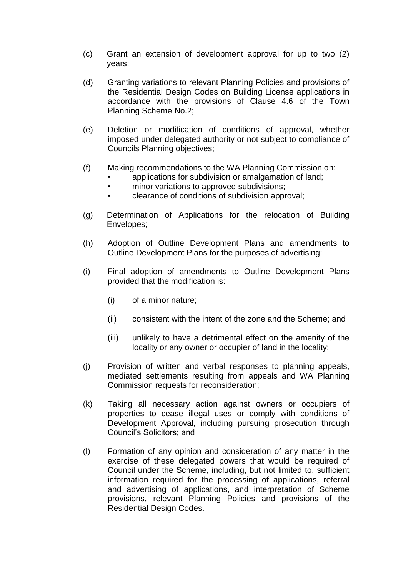- (c) Grant an extension of development approval for up to two (2) years;
- (d) Granting variations to relevant Planning Policies and provisions of the Residential Design Codes on Building License applications in accordance with the provisions of Clause 4.6 of the Town Planning Scheme No.2;
- (e) Deletion or modification of conditions of approval, whether imposed under delegated authority or not subject to compliance of Councils Planning objectives;
- (f) Making recommendations to the WA Planning Commission on:
	- applications for subdivision or amalgamation of land;
		- minor variations to approved subdivisions;
		- clearance of conditions of subdivision approval;
- (g) Determination of Applications for the relocation of Building Envelopes;
- (h) Adoption of Outline Development Plans and amendments to Outline Development Plans for the purposes of advertising;
- (i) Final adoption of amendments to Outline Development Plans provided that the modification is:
	- (i) of a minor nature;
	- (ii) consistent with the intent of the zone and the Scheme; and
	- (iii) unlikely to have a detrimental effect on the amenity of the locality or any owner or occupier of land in the locality;
- (j) Provision of written and verbal responses to planning appeals, mediated settlements resulting from appeals and WA Planning Commission requests for reconsideration;
- (k) Taking all necessary action against owners or occupiers of properties to cease illegal uses or comply with conditions of Development Approval, including pursuing prosecution through Council's Solicitors; and
- (l) Formation of any opinion and consideration of any matter in the exercise of these delegated powers that would be required of Council under the Scheme, including, but not limited to, sufficient information required for the processing of applications, referral and advertising of applications, and interpretation of Scheme provisions, relevant Planning Policies and provisions of the Residential Design Codes.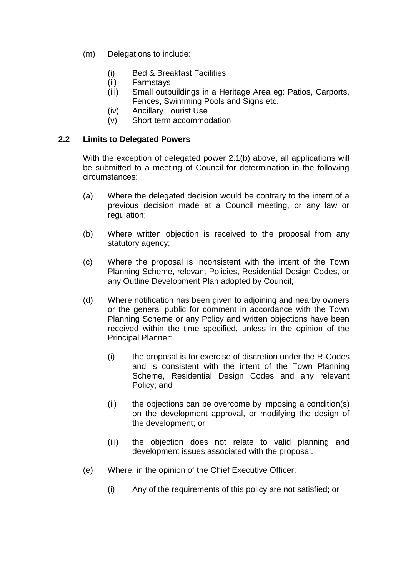- (m) Delegations to include:
	- (i) Bed & Breakfast Facilities
	- (ii) Farmstays
	- (iii) Small outbuildings in a Heritage Area eg: Patios, Carports, Fences, Swimming Pools and Signs etc.
	- (iv) Ancillary Tourist Use
	- (v) Short term accommodation

## **2.2 Limits to Delegated Powers**

With the exception of delegated power 2.1(b) above, all applications will be submitted to a meeting of Council for determination in the following circumstances:

- (a) Where the delegated decision would be contrary to the intent of a previous decision made at a Council meeting, or any law or regulation;
- (b) Where written objection is received to the proposal from any statutory agency;
- (c) Where the proposal is inconsistent with the intent of the Town Planning Scheme, relevant Policies, Residential Design Codes, or any Outline Development Plan adopted by Council;
- (d) Where notification has been given to adjoining and nearby owners or the general public for comment in accordance with the Town Planning Scheme or any Policy and written objections have been received within the time specified, unless in the opinion of the Principal Planner:
	- (i) the proposal is for exercise of discretion under the R-Codes and is consistent with the intent of the Town Planning Scheme, Residential Design Codes and any relevant Policy; and
	- $(ii)$  the objections can be overcome by imposing a condition(s) on the development approval, or modifying the design of the development; or
	- (iii) the objection does not relate to valid planning and development issues associated with the proposal.
- (e) Where, in the opinion of the Chief Executive Officer:
	- (i) Any of the requirements of this policy are not satisfied; or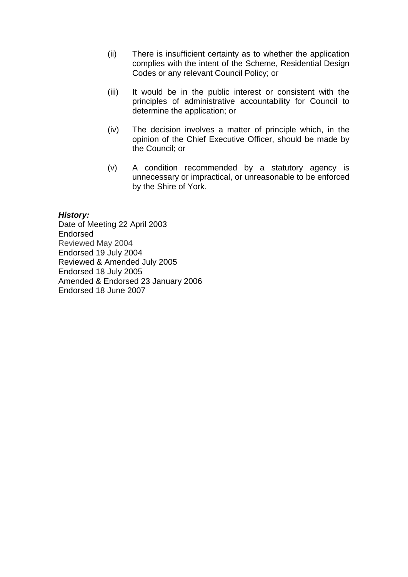- (ii) There is insufficient certainty as to whether the application complies with the intent of the Scheme, Residential Design Codes or any relevant Council Policy; or
- (iii) It would be in the public interest or consistent with the principles of administrative accountability for Council to determine the application; or
- (iv) The decision involves a matter of principle which, in the opinion of the Chief Executive Officer, should be made by the Council; or
- (v) A condition recommended by a statutory agency is unnecessary or impractical, or unreasonable to be enforced by the Shire of York.

#### *History:*

Date of Meeting 22 April 2003 Endorsed Reviewed May 2004 Endorsed 19 July 2004 Reviewed & Amended July 2005 Endorsed 18 July 2005 Amended & Endorsed 23 January 2006 Endorsed 18 June 2007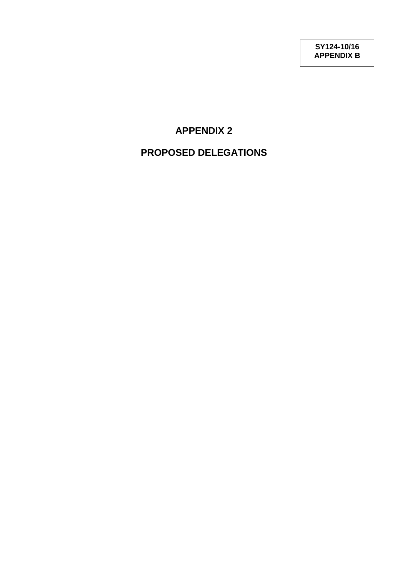## **APPENDIX 2**

## **PROPOSED DELEGATIONS**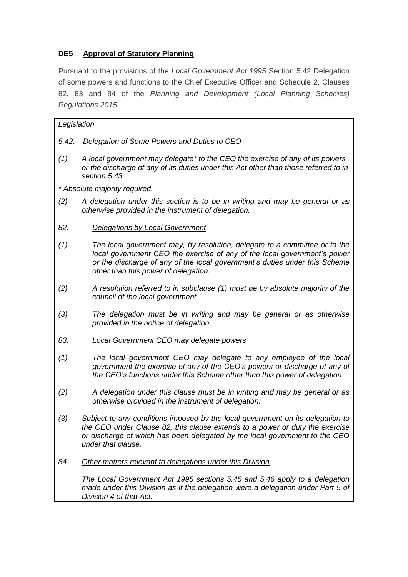## **DE5 Approval of Statutory Planning**

Pursuant to the provisions of the *Local Government Act 1995* Section 5.42 Delegation of some powers and functions to the Chief Executive Officer and Schedule 2, Clauses 82, 83 and 84 of the *Planning and Development (Local Planning Schemes) Regulations 2015*;

| Legislation                   |                                                                                                                                                                                                                                                                              |
|-------------------------------|------------------------------------------------------------------------------------------------------------------------------------------------------------------------------------------------------------------------------------------------------------------------------|
| 5.42.                         | Delegation of Some Powers and Duties to CEO                                                                                                                                                                                                                                  |
| (1)                           | A local government may delegate* to the CEO the exercise of any of its powers<br>or the discharge of any of its duties under this Act other than those referred to in<br>section 5.43.                                                                                       |
| * Absolute majority required. |                                                                                                                                                                                                                                                                              |
| (2)                           | A delegation under this section is to be in writing and may be general or as<br>otherwise provided in the instrument of delegation.                                                                                                                                          |
| 82.                           | <b>Delegations by Local Government</b>                                                                                                                                                                                                                                       |
| (1)                           | The local government may, by resolution, delegate to a committee or to the<br>local government CEO the exercise of any of the local government's power<br>or the discharge of any of the local government's duties under this Scheme<br>other than this power of delegation. |
| (2)                           | A resolution referred to in subclause (1) must be by absolute majority of the<br>council of the local government.                                                                                                                                                            |
| (3)                           | The delegation must be in writing and may be general or as otherwise<br>provided in the notice of delegation.                                                                                                                                                                |
| 83.                           | <b>Local Government CEO may delegate powers</b>                                                                                                                                                                                                                              |
| (1)                           | The local government CEO may delegate to any employee of the local<br>government the exercise of any of the CEO's powers or discharge of any of<br>the CEO's functions under this Scheme other than this power of delegation.                                                |
| (2)                           | A delegation under this clause must be in writing and may be general or as<br>otherwise provided in the instrument of delegation.                                                                                                                                            |
| (3)                           | Subject to any conditions imposed by the local government on its delegation to<br>the CEO under Clause 82, this clause extends to a power or duty the exercise<br>or discharge of which has been delegated by the local government to the CEO<br>under that clause.          |
| 84.                           | Other matters relevant to delegations under this Division                                                                                                                                                                                                                    |
|                               | The Local Government Act 1995 sections 5.45 and 5.46 apply to a delegation<br>made under this Division as if the delegation were a delegation under Part 5 of<br>Division 4 of that Act.                                                                                     |
|                               |                                                                                                                                                                                                                                                                              |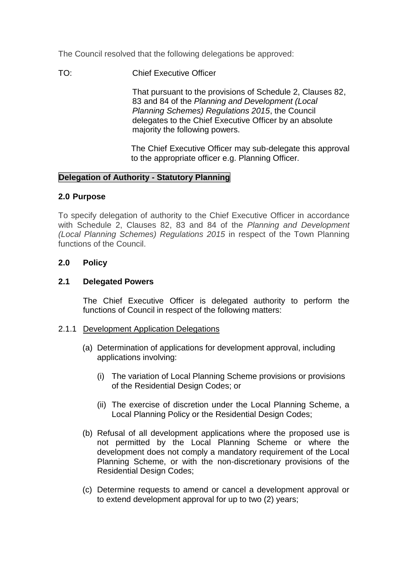The Council resolved that the following delegations be approved:

TO: Chief Executive Officer

That pursuant to the provisions of Schedule 2, Clauses 82, 83 and 84 of the *Planning and Development (Local Planning Schemes) Regulations 2015*, the Council delegates to the Chief Executive Officer by an absolute majority the following powers.

The Chief Executive Officer may sub-delegate this approval to the appropriate officer e.g. Planning Officer.

## **Delegation of Authority - Statutory Planning**

#### **2.0 Purpose**

To specify delegation of authority to the Chief Executive Officer in accordance with Schedule 2, Clauses 82, 83 and 84 of the *Planning and Development (Local Planning Schemes) Regulations 2015* in respect of the Town Planning functions of the Council.

## **2.0 Policy**

## **2.1 Delegated Powers**

The Chief Executive Officer is delegated authority to perform the functions of Council in respect of the following matters:

#### 2.1.1 Development Application Delegations

- (a) Determination of applications for development approval, including applications involving:
	- (i) The variation of Local Planning Scheme provisions or provisions of the Residential Design Codes; or
	- (ii) The exercise of discretion under the Local Planning Scheme, a Local Planning Policy or the Residential Design Codes;
- (b) Refusal of all development applications where the proposed use is not permitted by the Local Planning Scheme or where the development does not comply a mandatory requirement of the Local Planning Scheme, or with the non-discretionary provisions of the Residential Design Codes;
- (c) Determine requests to amend or cancel a development approval or to extend development approval for up to two (2) years;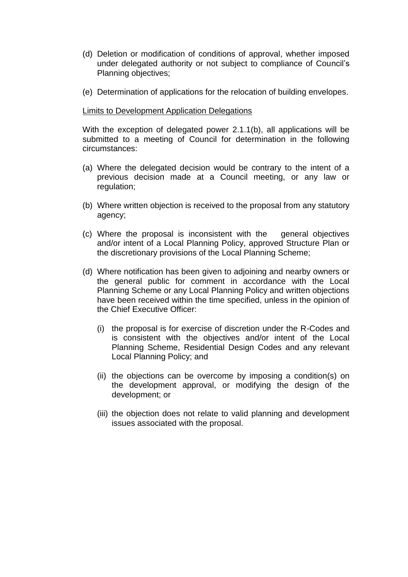- (d) Deletion or modification of conditions of approval, whether imposed under delegated authority or not subject to compliance of Council's Planning objectives;
- (e) Determination of applications for the relocation of building envelopes.

#### Limits to Development Application Delegations

With the exception of delegated power 2.1.1(b), all applications will be submitted to a meeting of Council for determination in the following circumstances:

- (a) Where the delegated decision would be contrary to the intent of a previous decision made at a Council meeting, or any law or regulation;
- (b) Where written objection is received to the proposal from any statutory agency;
- (c) Where the proposal is inconsistent with the general objectives and/or intent of a Local Planning Policy, approved Structure Plan or the discretionary provisions of the Local Planning Scheme;
- (d) Where notification has been given to adjoining and nearby owners or the general public for comment in accordance with the Local Planning Scheme or any Local Planning Policy and written objections have been received within the time specified, unless in the opinion of the Chief Executive Officer:
	- (i) the proposal is for exercise of discretion under the R-Codes and is consistent with the objectives and/or intent of the Local Planning Scheme, Residential Design Codes and any relevant Local Planning Policy; and
	- (ii) the objections can be overcome by imposing a condition(s) on the development approval, or modifying the design of the development; or
	- (iii) the objection does not relate to valid planning and development issues associated with the proposal.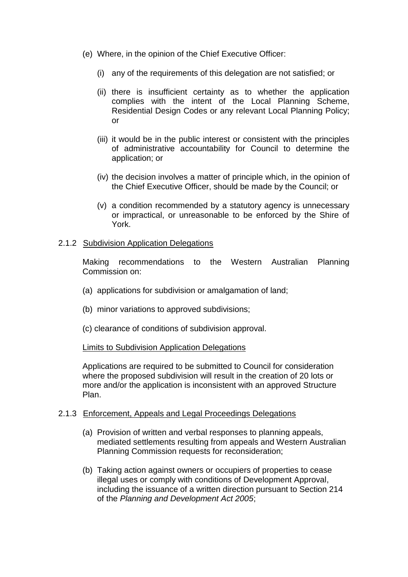- (e) Where, in the opinion of the Chief Executive Officer:
	- (i) any of the requirements of this delegation are not satisfied; or
	- (ii) there is insufficient certainty as to whether the application complies with the intent of the Local Planning Scheme, Residential Design Codes or any relevant Local Planning Policy; or
	- (iii) it would be in the public interest or consistent with the principles of administrative accountability for Council to determine the application; or
	- (iv) the decision involves a matter of principle which, in the opinion of the Chief Executive Officer, should be made by the Council; or
	- (v) a condition recommended by a statutory agency is unnecessary or impractical, or unreasonable to be enforced by the Shire of York.

## 2.1.2 Subdivision Application Delegations

Making recommendations to the Western Australian Planning Commission on:

- (a) applications for subdivision or amalgamation of land;
- (b) minor variations to approved subdivisions;
- (c) clearance of conditions of subdivision approval.

## Limits to Subdivision Application Delegations

Applications are required to be submitted to Council for consideration where the proposed subdivision will result in the creation of 20 lots or more and/or the application is inconsistent with an approved Structure Plan.

## 2.1.3 Enforcement, Appeals and Legal Proceedings Delegations

- (a) Provision of written and verbal responses to planning appeals, mediated settlements resulting from appeals and Western Australian Planning Commission requests for reconsideration;
- (b) Taking action against owners or occupiers of properties to cease illegal uses or comply with conditions of Development Approval, including the issuance of a written direction pursuant to Section 214 of the *Planning and Development Act 2005*;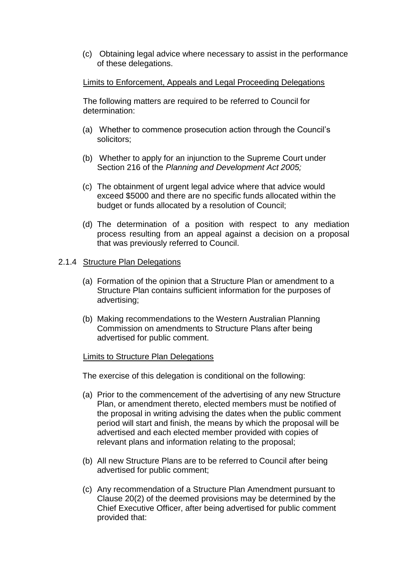(c) Obtaining legal advice where necessary to assist in the performance of these delegations.

#### Limits to Enforcement, Appeals and Legal Proceeding Delegations

The following matters are required to be referred to Council for determination:

- (a) Whether to commence prosecution action through the Council's solicitors;
- (b) Whether to apply for an injunction to the Supreme Court under Section 216 of the *Planning and Development Act 2005;*
- (c) The obtainment of urgent legal advice where that advice would exceed \$5000 and there are no specific funds allocated within the budget or funds allocated by a resolution of Council;
- (d) The determination of a position with respect to any mediation process resulting from an appeal against a decision on a proposal that was previously referred to Council.

#### 2.1.4 Structure Plan Delegations

- (a) Formation of the opinion that a Structure Plan or amendment to a Structure Plan contains sufficient information for the purposes of advertising;
- (b) Making recommendations to the Western Australian Planning Commission on amendments to Structure Plans after being advertised for public comment.

#### Limits to Structure Plan Delegations

The exercise of this delegation is conditional on the following:

- (a) Prior to the commencement of the advertising of any new Structure Plan, or amendment thereto, elected members must be notified of the proposal in writing advising the dates when the public comment period will start and finish, the means by which the proposal will be advertised and each elected member provided with copies of relevant plans and information relating to the proposal;
- (b) All new Structure Plans are to be referred to Council after being advertised for public comment;
- (c) Any recommendation of a Structure Plan Amendment pursuant to Clause 20(2) of the deemed provisions may be determined by the Chief Executive Officer, after being advertised for public comment provided that: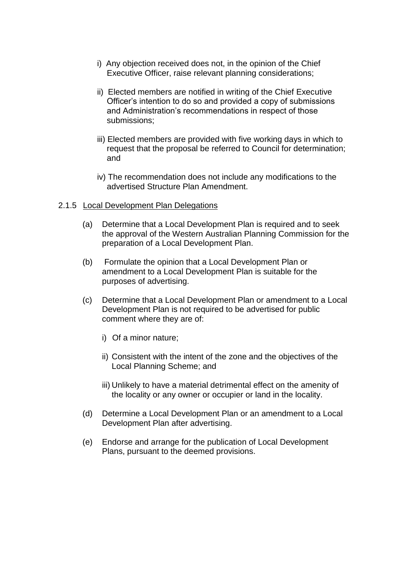- i) Any objection received does not, in the opinion of the Chief Executive Officer, raise relevant planning considerations;
- ii) Elected members are notified in writing of the Chief Executive Officer's intention to do so and provided a copy of submissions and Administration's recommendations in respect of those submissions;
- iii) Elected members are provided with five working days in which to request that the proposal be referred to Council for determination; and
- iv) The recommendation does not include any modifications to the advertised Structure Plan Amendment.

#### 2.1.5 Local Development Plan Delegations

- (a) Determine that a Local Development Plan is required and to seek the approval of the Western Australian Planning Commission for the preparation of a Local Development Plan.
- (b) Formulate the opinion that a Local Development Plan or amendment to a Local Development Plan is suitable for the purposes of advertising.
- (c) Determine that a Local Development Plan or amendment to a Local Development Plan is not required to be advertised for public comment where they are of:
	- i) Of a minor nature;
	- ii) Consistent with the intent of the zone and the objectives of the Local Planning Scheme; and
	- iii) Unlikely to have a material detrimental effect on the amenity of the locality or any owner or occupier or land in the locality.
- (d) Determine a Local Development Plan or an amendment to a Local Development Plan after advertising.
- (e) Endorse and arrange for the publication of Local Development Plans, pursuant to the deemed provisions.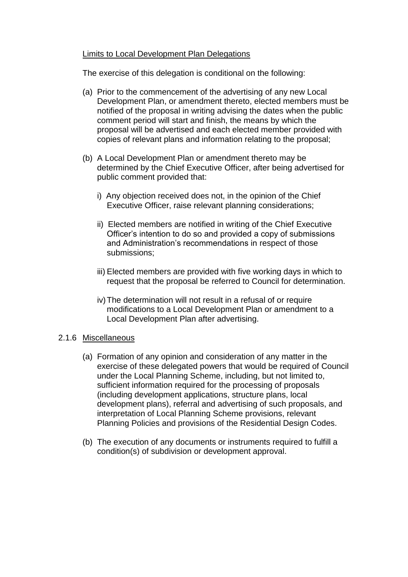## Limits to Local Development Plan Delegations

The exercise of this delegation is conditional on the following:

- (a) Prior to the commencement of the advertising of any new Local Development Plan, or amendment thereto, elected members must be notified of the proposal in writing advising the dates when the public comment period will start and finish, the means by which the proposal will be advertised and each elected member provided with copies of relevant plans and information relating to the proposal;
- (b) A Local Development Plan or amendment thereto may be determined by the Chief Executive Officer, after being advertised for public comment provided that:
	- i) Any objection received does not, in the opinion of the Chief Executive Officer, raise relevant planning considerations;
	- ii) Elected members are notified in writing of the Chief Executive Officer's intention to do so and provided a copy of submissions and Administration's recommendations in respect of those submissions;
	- iii) Elected members are provided with five working days in which to request that the proposal be referred to Council for determination.
	- iv)The determination will not result in a refusal of or require modifications to a Local Development Plan or amendment to a Local Development Plan after advertising.

## 2.1.6 Miscellaneous

- (a) Formation of any opinion and consideration of any matter in the exercise of these delegated powers that would be required of Council under the Local Planning Scheme, including, but not limited to, sufficient information required for the processing of proposals (including development applications, structure plans, local development plans), referral and advertising of such proposals, and interpretation of Local Planning Scheme provisions, relevant Planning Policies and provisions of the Residential Design Codes.
- (b) The execution of any documents or instruments required to fulfill a condition(s) of subdivision or development approval.